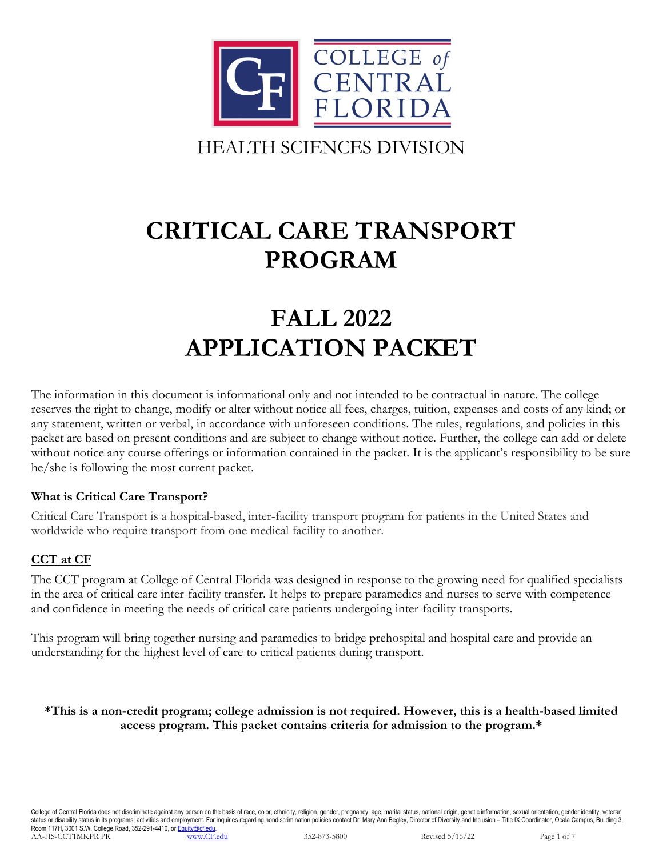

# **CRITICAL CARE TRANSPORT PROGRAM**

# **FALL 2022 APPLICATION PACKET**

The information in this document is informational only and not intended to be contractual in nature. The college reserves the right to change, modify or alter without notice all fees, charges, tuition, expenses and costs of any kind; or any statement, written or verbal, in accordance with unforeseen conditions. The rules, regulations, and policies in this packet are based on present conditions and are subject to change without notice. Further, the college can add or delete without notice any course offerings or information contained in the packet. It is the applicant's responsibility to be sure he/she is following the most current packet.

#### **What is Critical Care Transport?**

Critical Care Transport is a hospital-based, inter-facility transport program for patients in the United States and worldwide who require transport from one medical facility to another.

## **CCT at CF**

The CCT program at College of Central Florida was designed in response to the growing need for qualified specialists in the area of critical care inter-facility transfer. It helps to prepare paramedics and nurses to serve with competence and confidence in meeting the needs of critical care patients undergoing inter-facility transports.

This program will bring together nursing and paramedics to bridge prehospital and hospital care and provide an understanding for the highest level of care to critical patients during transport.

#### **\*This is a non-credit program; college admission is not required. However, this is a health-based limited access program. This packet contains criteria for admission to the program.\***

College of Central Florida does not discriminate against any person on the basis of race, color, ethnicity, religion, gender, pregnancy, age, marital status, national origin, genetic information, sexual orientation, gender status or disability status in its programs, activities and employment. For inquiries regarding nondiscrimination policies contact Dr. Mary Ann Begley, Director of Diversity and Inclusion - Title IX Coordinator, Ocala Camp Room 117H, 3001 S.W. College Road, 352-291-4410, or  $\frac{\dot{\mathsf{E}}_{\mathsf{qul}}\mathsf{iv}(\mathsf{gcd}\mathsf{red}\mathsf{u})}{\text{www.CF.edu}}$ AA-HS-CCT1MKPR PR [www.CF.edu](https://www.cf.edu/) 352-873-5800 Revised 5/16/22 Page 1 of 7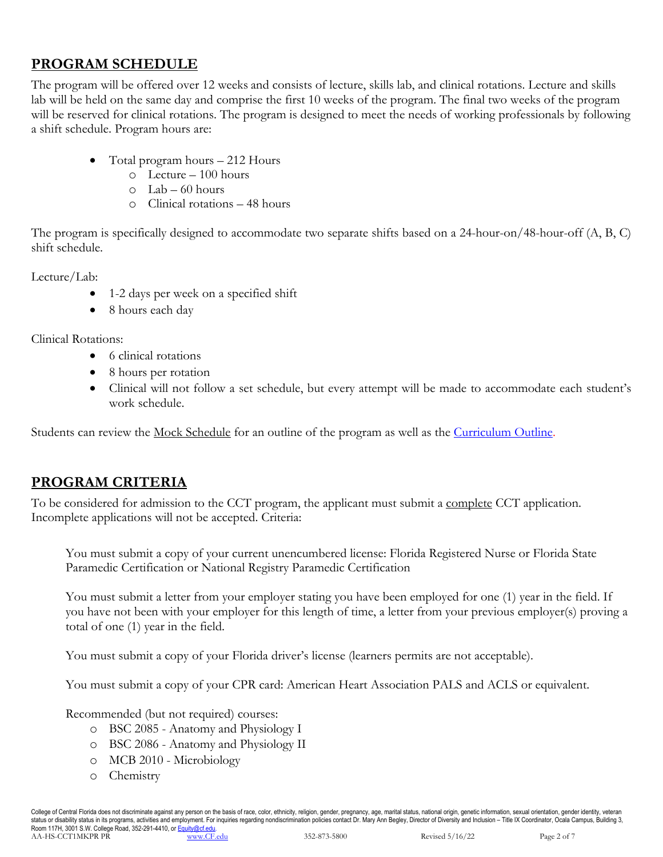## **PROGRAM SCHEDULE**

The program will be offered over 12 weeks and consists of lecture, skills lab, and clinical rotations. Lecture and skills lab will be held on the same day and comprise the first 10 weeks of the program. The final two weeks of the program will be reserved for clinical rotations. The program is designed to meet the needs of working professionals by following a shift schedule. Program hours are:

- Total program hours 212 Hours
	- o Lecture 100 hours
	- $O$  Lab 60 hours
	- o Clinical rotations 48 hours

The program is specifically designed to accommodate two separate shifts based on a 24-hour-on/48-hour-off (A, B, C) shift schedule.

Lecture/Lab:

- 1-2 days per week on a specified shift
- 8 hours each day

Clinical Rotations:

- 6 clinical rotations
- 8 hours per rotation
- Clinical will not follow a set schedule, but every attempt will be made to accommodate each student's work schedule.

Students can review the <u>Mock Schedule</u> for an outline of the program as well as the *Curriculum Outline*.

## **PROGRAM CRITERIA**

To be considered for admission to the CCT program, the applicant must submit a complete CCT application. Incomplete applications will not be accepted. Criteria:

You must submit a copy of your current unencumbered license: Florida Registered Nurse or Florida State Paramedic Certification or National Registry Paramedic Certification

You must submit a letter from your employer stating you have been employed for one (1) year in the field. If you have not been with your employer for this length of time, a letter from your previous employer(s) proving a total of one (1) year in the field.

You must submit a copy of your Florida driver's license (learners permits are not acceptable).

You must submit a copy of your CPR card: American Heart Association PALS and ACLS or equivalent.

Recommended (but not required) courses:

- o BSC 2085 Anatomy and Physiology I
- o BSC 2086 Anatomy and Physiology II
- o MCB 2010 Microbiology
- o Chemistry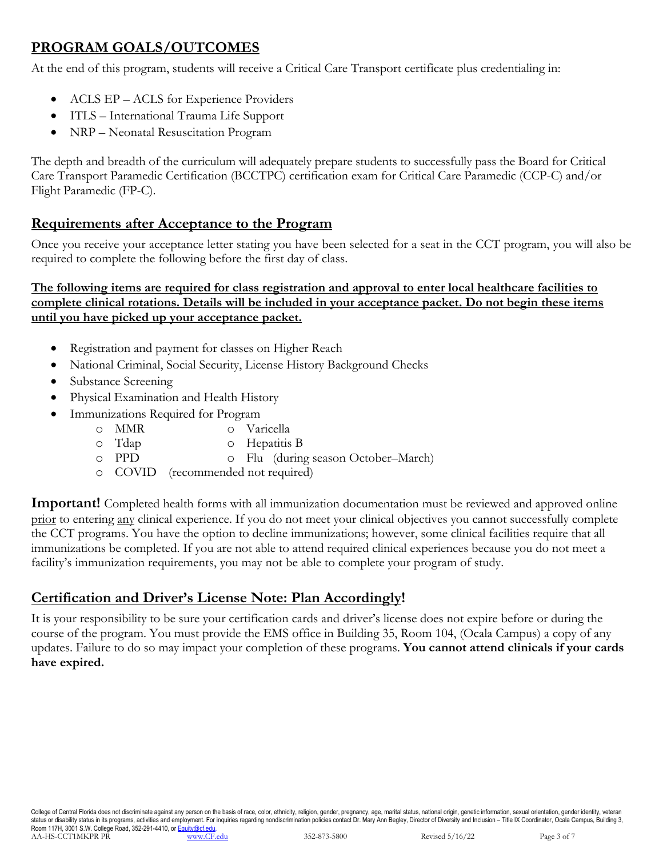## **PROGRAM GOALS/OUTCOMES**

At the end of this program, students will receive a Critical Care Transport certificate plus credentialing in:

- ACLS EP ACLS for Experience Providers
- ITLS International Trauma Life Support
- NRP Neonatal Resuscitation Program

The depth and breadth of the curriculum will adequately prepare students to successfully pass the Board for Critical Care Transport Paramedic Certification (BCCTPC) certification exam for Critical Care Paramedic (CCP-C) and/or Flight Paramedic (FP-C).

## **Requirements after Acceptance to the Program**

Once you receive your acceptance letter stating you have been selected for a seat in the CCT program, you will also be required to complete the following before the first day of class.

#### **The following items are required for class registration and approval to enter local healthcare facilities to complete clinical rotations. Details will be included in your acceptance packet. Do not begin these items until you have picked up your acceptance packet.**

- Registration and payment for classes on Higher Reach
- National Criminal, Social Security, License History Background Checks
- Substance Screening
- Physical Examination and Health History
- Immunizations Required for Program
	- o MMR o Varicella
	- o Tdap o Hepatitis B
	- o PPD o Flu (during season October–March)
	- o COVID (recommended not required)

**Important!** Completed health forms with all immunization documentation must be reviewed and approved online prior to entering any clinical experience. If you do not meet your clinical objectives you cannot successfully complete the CCT programs. You have the option to decline immunizations; however, some clinical facilities require that all immunizations be completed. If you are not able to attend required clinical experiences because you do not meet a facility's immunization requirements, you may not be able to complete your program of study.

## **Certification and Driver's License Note: Plan Accordingly!**

It is your responsibility to be sure your certification cards and driver's license does not expire before or during the course of the program. You must provide the EMS office in Building 35, Room 104, (Ocala Campus) a copy of any updates. Failure to do so may impact your completion of these programs. **You cannot attend clinicals if your cards have expired.**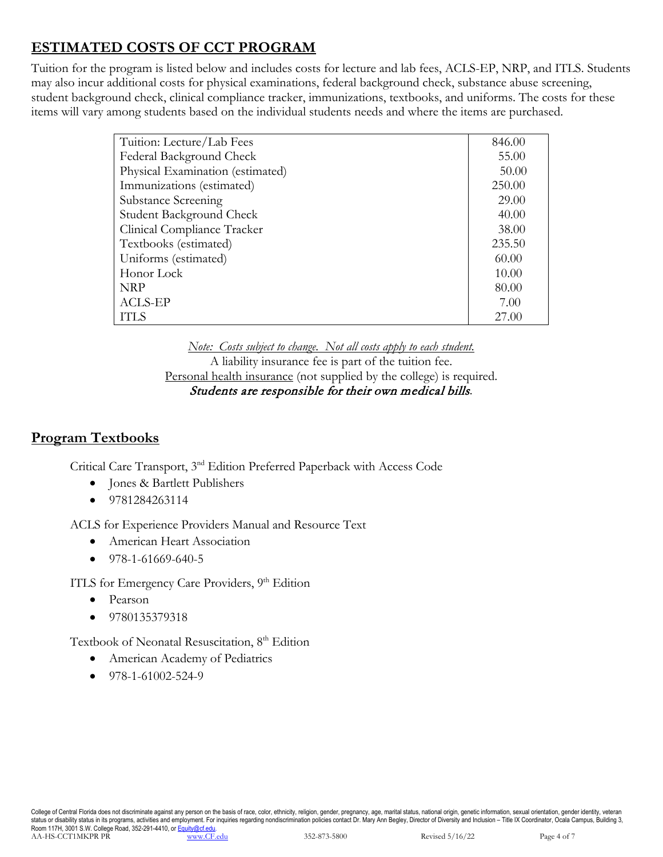## **ESTIMATED COSTS OF CCT PROGRAM**

Tuition for the program is listed below and includes costs for lecture and lab fees, ACLS-EP, NRP, and ITLS. Students may also incur additional costs for physical examinations, federal background check, substance abuse screening, student background check, clinical compliance tracker, immunizations, textbooks, and uniforms. The costs for these items will vary among students based on the individual students needs and where the items are purchased.

| 846.00 |
|--------|
| 55.00  |
| 50.00  |
| 250.00 |
| 29.00  |
| 40.00  |
| 38.00  |
| 235.50 |
| 60.00  |
| 10.00  |
| 80.00  |
| 7.00   |
| 27.00  |
|        |

*Note: Costs subject to change. Not all costs apply to each student.* A liability insurance fee is part of the tuition fee. Personal health insurance (not supplied by the college) is required. Students are responsible for their own medical bills*.*

## **Program Textbooks**

Critical Care Transport, 3nd Edition Preferred Paperback with Access Code

- Jones & Bartlett Publishers
- 9781284263114

ACLS for Experience Providers Manual and Resource Text

- American Heart Association
- 978-1-61669-640-5

ITLS for Emergency Care Providers, 9<sup>th</sup> Edition

- Pearson
- 9780135379318

Textbook of Neonatal Resuscitation, 8<sup>th</sup> Edition

- American Academy of Pediatrics
- $\bullet$  978-1-61002-524-9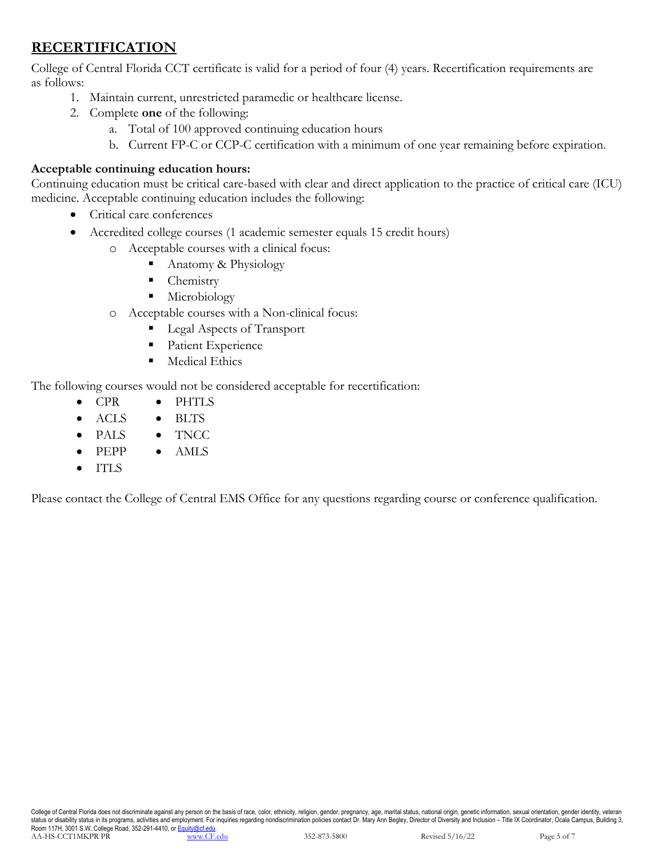## **RECERTIFICATION**

College of Central Florida CCT certificate is valid for a period of four (4) years. Recertification requirements are as follows:

- 1. Maintain current, unrestricted paramedic or healthcare license.
- 2. Complete **one** of the following:
	- a. Total of 100 approved continuing education hours
	- b. Current FP-C or CCP-C certification with a minimum of one year remaining before expiration.

#### **Acceptable continuing education hours:**

Continuing education must be critical care-based with clear and direct application to the practice of critical care (ICU) medicine. Acceptable continuing education includes the following:

- Critical care conferences
- Accredited college courses (1 academic semester equals 15 credit hours)
	- o Acceptable courses with a clinical focus:
		- Anatomy & Physiology
		- Chemistry
		- **Microbiology**
	- o Acceptable courses with a Non-clinical focus:
		- Legal Aspects of Transport
		- **Patient Experience**
		- **Medical Ethics**

The following courses would not be considered acceptable for recertification:

- CPR • PHTLS
- ACLS • BLTS
- PALS • TNCC
- PEPP • AMLS
- ITLS

Please contact the College of Central EMS Office for any questions regarding course or conference qualification.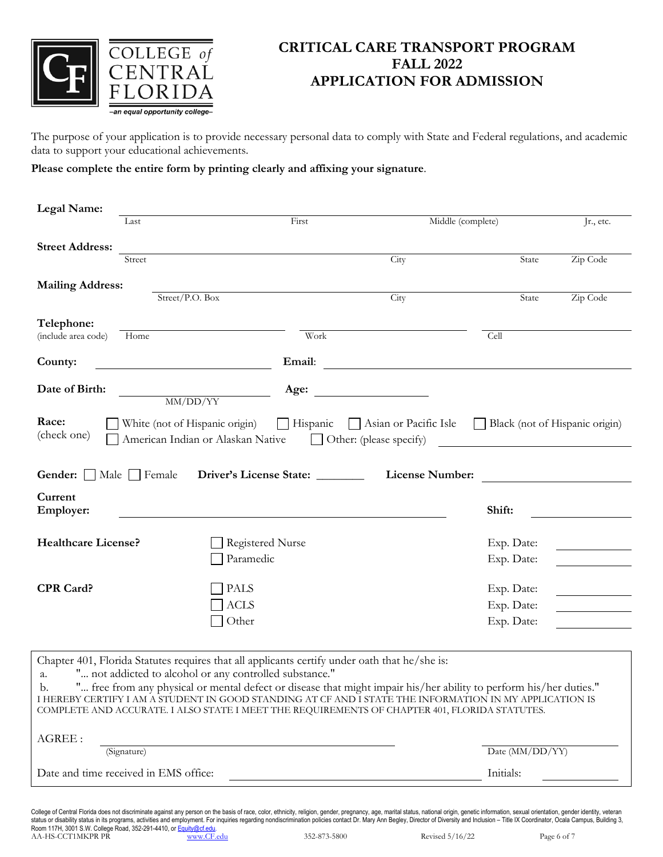

## **CRITICAL CARE TRANSPORT PROGRAM FALL 2022 APPLICATION FOR ADMISSION**

The purpose of your application is to provide necessary personal data to comply with State and Federal regulations, and academic data to support your educational achievements.

#### **Please complete the entire form by printing clearly and affixing your signature**.

| Legal Name:                 |                                                                                                                                                          |                                                                                                                                              |                   |
|-----------------------------|----------------------------------------------------------------------------------------------------------------------------------------------------------|----------------------------------------------------------------------------------------------------------------------------------------------|-------------------|
| Last                        | First                                                                                                                                                    | Middle (complete)                                                                                                                            | Jr., etc.         |
| <b>Street Address:</b>      |                                                                                                                                                          |                                                                                                                                              |                   |
| Street                      |                                                                                                                                                          | City                                                                                                                                         | Zip Code<br>State |
| <b>Mailing Address:</b>     |                                                                                                                                                          |                                                                                                                                              |                   |
|                             | Street/P.O. Box                                                                                                                                          | City                                                                                                                                         | Zip Code<br>State |
| Telephone:                  |                                                                                                                                                          |                                                                                                                                              |                   |
| (include area code)<br>Home | Work                                                                                                                                                     |                                                                                                                                              | Cell              |
| County:                     | Email:<br><u> 1980 - Johann Barbara, martxa a</u>                                                                                                        | <u> 1980 - Jan Samuel Barbara, margaret e</u> n 1980 eta 1980 - Antonio II.a (h. 1910).<br>1980 - Johann Stein, frantziar idazlea (h. 1910). |                   |
| Date of Birth:              | Age:<br>MM/DD/YY                                                                                                                                         |                                                                                                                                              |                   |
| <b>Gender:</b> Male Female  | Driver's License State: ________                                                                                                                         | <b>License Number:</b>                                                                                                                       |                   |
| Current<br>Employer:        |                                                                                                                                                          |                                                                                                                                              | Shift:            |
| <b>Healthcare License?</b>  | <b>Registered Nurse</b>                                                                                                                                  |                                                                                                                                              | Exp. Date:        |
|                             | Paramedic                                                                                                                                                |                                                                                                                                              | Exp. Date:        |
| <b>CPR Card?</b>            | <b>PALS</b>                                                                                                                                              |                                                                                                                                              | Exp. Date:        |
|                             | <b>ACLS</b>                                                                                                                                              |                                                                                                                                              | Exp. Date:        |
|                             | Other                                                                                                                                                    |                                                                                                                                              | Exp. Date:        |
|                             |                                                                                                                                                          |                                                                                                                                              |                   |
| a.                          | Chapter 401, Florida Statutes requires that all applicants certify under oath that he/she is:<br>" not addicted to alcohol or any controlled substance." |                                                                                                                                              |                   |
| $\mathbf{h}$                | " free from any physical or mental defect or disease that might impair bis/her ability to perform his/her duties"                                        |                                                                                                                                              |                   |

| Date and time received in EMS office:                                                                              | Initials:       |  |  |  |
|--------------------------------------------------------------------------------------------------------------------|-----------------|--|--|--|
| (Signature)                                                                                                        | Date (MM/DD/YY) |  |  |  |
| AGREE :                                                                                                            |                 |  |  |  |
| COMPLETE AND ACCURATE. I ALSO STATE I MEET THE REQUIREMENTS OF CHAPTER 401, FLORIDA STATUTES.                      |                 |  |  |  |
| I HEREBY CERTIFY I AM A STUDENT IN GOOD STANDING AT CF AND I STATE THE INFORMATION IN MY APPLICATION IS            |                 |  |  |  |
| " free from any physical or mental defect or disease that might impair his/her ability to perform his/her duties." |                 |  |  |  |

College of Central Florida does not discriminate against any person on the basis of race, color, ethnicity, religion, gender, pregnancy, age, marital status, national origin, genetic information, sexual orientation, gender